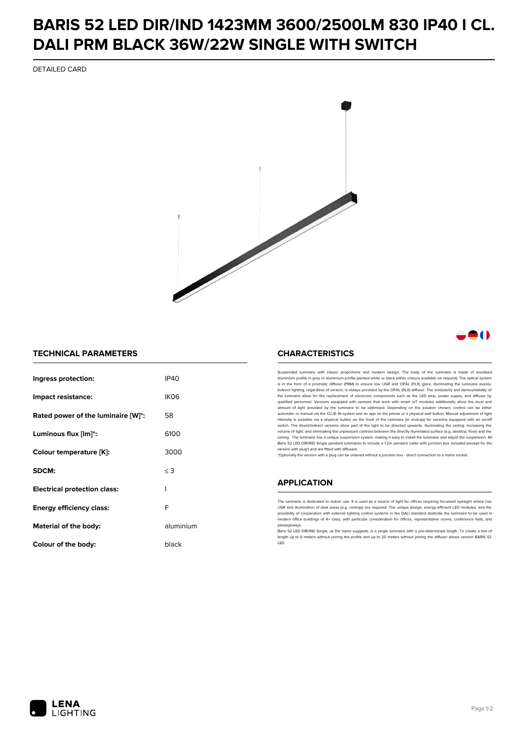# **BARIS 52 LED DIR/IND 1423MM 3600/2500LM 830 IP40 I CL. DALI PRM BLACK 36W/22W SINGLE WITH SWITCH**

DETAILED CARD



## -0

#### **TECHNICAL PARAMETERS**

| Ingress protection:                 | IP40      |
|-------------------------------------|-----------|
| Impact resistance:                  | IKO6      |
| Rated power of the luminaire [W]*:  | 58        |
| Luminous flux [lm]*:                | 6100      |
| Colour temperature [K]:             | 3000      |
| SDCM:                               | $\leq 3$  |
| <b>Electrical protection class:</b> | ı         |
| <b>Energy efficiency class:</b>     | F         |
| Material of the body:               | aluminium |
| Colour of the body:                 | black     |

### **CHARACTERISTICS**

Suspended luminaire with classic proportions and modern design. The body of the luminaire is made of an aluminium profile in grey or aluminium profile painted white or black (other colours available on request). The optical system is in the form of a prismatic diffuser (PRM) to ensure low UGR and OPAL (PLX) glare, illuminating the luminaire evenly.<br>Indirect lighting, regardless of version, is always provided by the OPAL (PLX) diffuser. The modularit the luminaire allow for the replacement of electronic components such as the LED strip, power supply, and diffuser by qualified personnel. Versions equipped with sensors that work with smart IoT modules additionally allow the level and amount of light provided by the luminaire to be optimised. Depending on the solution chosen, control can be either automatic or manual via the CLUE IN system and an app on the phone or a physical wall button. Manual adjustment of light<br>intensity is possible via a physical button on the front of the luminaire (in endcap) for versions eq switch. The direct/indirect versions allow part of the light to be directed upwards, illuminating the ceiling, increasing the volume of light, and eliminating the unpleasant contrast between the directly illuminated surface (e.g. desktop, floor) and the ceiling. The luminaire has a unique suspension system, making it easy to install the luminaire and adjust the suspension. All Baris 52 LED DIR/IND Single pendant Iuminaires to include a 1.2m pendant cable with junction box included (except for the<br>version with plug\*) and are fitted with diffusers.

\*Optionally the version with a plug can be ordered without a junction box - direct connection to a mains socket.

#### **APPLICATION**

The luminaire is dedicated to indoor use. It is used as a source of light for offices requiring focussed eyesight where low UGR and illumination of dark areas (e.g. ceilings) are required. The unique design, energy-efficient LED modules, and the<br>possibility of cooperation with external lighting control systems in the DALI standard dedicate the modern office buildings of A+ class, with particular consideration for offices, representative rooms, conference halls, and passage

.<br>Baris 52 LED DIR/IND Single, as the name suggests, is a single luminaire with a pre-determined length. To create a line of length up to 6 meters without joining the profile and up to 25 meters without joining the diffuser allows version BARIS 52 LED.